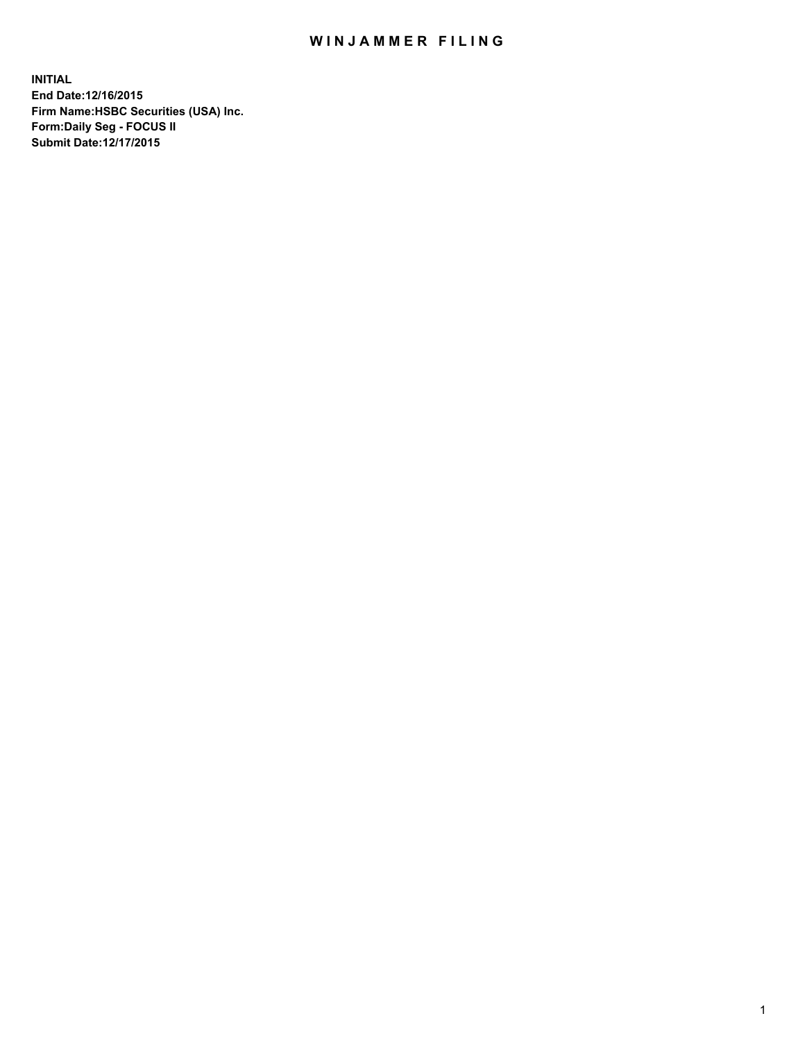## WIN JAMMER FILING

**INITIAL End Date:12/16/2015 Firm Name:HSBC Securities (USA) Inc. Form:Daily Seg - FOCUS II Submit Date:12/17/2015**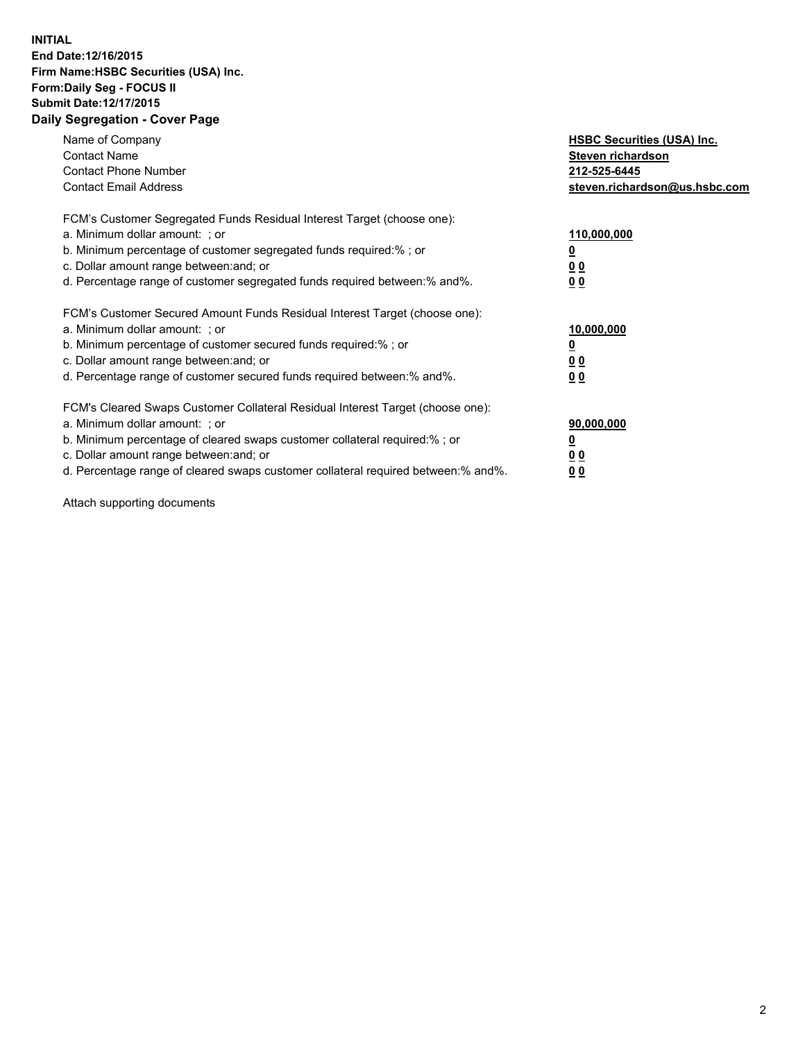#### **INITIAL End Date:12/16/2015 Firm Name:HSBC Securities (USA) Inc. Form:Daily Seg - FOCUS II Submit Date:12/17/2015 Daily Segregation - Cover Page**

| Name of Company<br><b>Contact Name</b><br><b>Contact Phone Number</b><br><b>Contact Email Address</b>                                                                                                                                                                                                                          | <b>HSBC Securities (USA) Inc.</b><br>Steven richardson<br>212-525-6445<br>steven.richardson@us.hsbc.com |
|--------------------------------------------------------------------------------------------------------------------------------------------------------------------------------------------------------------------------------------------------------------------------------------------------------------------------------|---------------------------------------------------------------------------------------------------------|
| FCM's Customer Segregated Funds Residual Interest Target (choose one):<br>a. Minimum dollar amount: ; or<br>b. Minimum percentage of customer segregated funds required:%; or<br>c. Dollar amount range between: and; or<br>d. Percentage range of customer segregated funds required between: % and %.                        | 110,000,000<br><u>0</u><br>0 <sub>0</sub><br>0 <sub>0</sub>                                             |
| FCM's Customer Secured Amount Funds Residual Interest Target (choose one):<br>a. Minimum dollar amount: ; or<br>b. Minimum percentage of customer secured funds required:%; or<br>c. Dollar amount range between: and; or<br>d. Percentage range of customer secured funds required between:% and%.                            | 10,000,000<br><u>0</u><br>0 <sub>0</sub><br>0 <sub>0</sub>                                              |
| FCM's Cleared Swaps Customer Collateral Residual Interest Target (choose one):<br>a. Minimum dollar amount: ; or<br>b. Minimum percentage of cleared swaps customer collateral required:% ; or<br>c. Dollar amount range between: and; or<br>d. Percentage range of cleared swaps customer collateral required between:% and%. | 90,000,000<br>0 <sub>0</sub><br>00                                                                      |

Attach supporting documents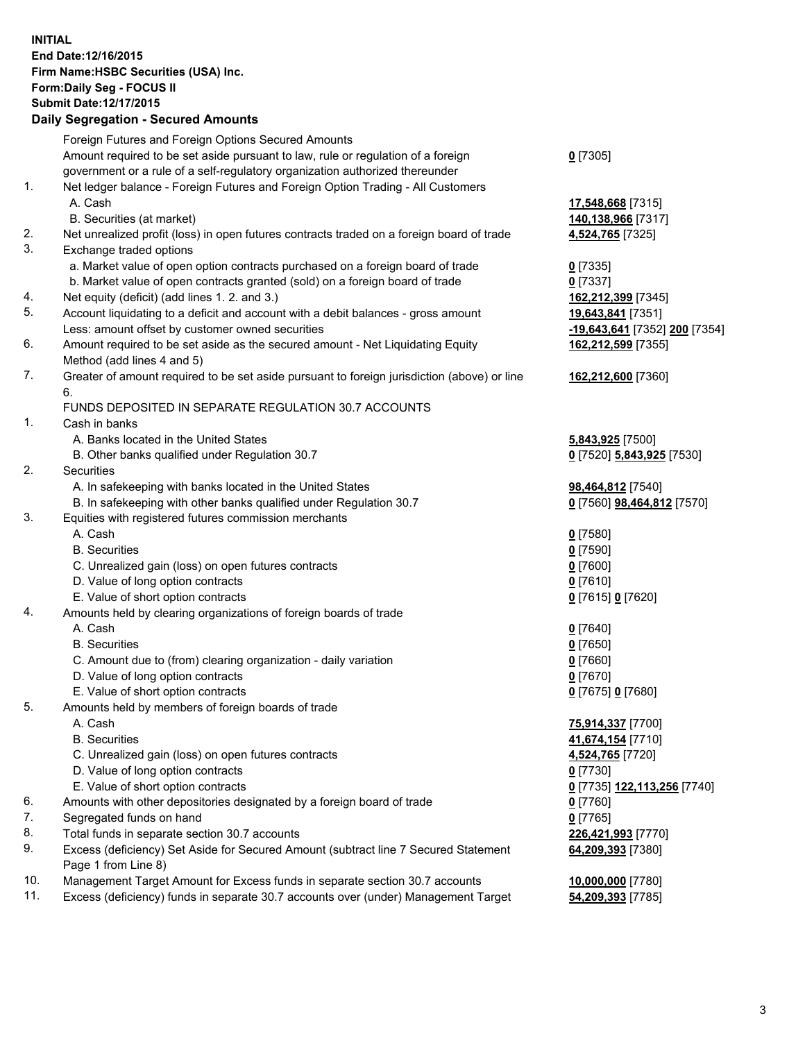**INITIAL End Date:12/16/2015 Firm Name:HSBC Securities (USA) Inc. Form:Daily Seg - FOCUS II Submit Date:12/17/2015 Daily Segregation - Secured Amounts**

# Foreign Futures and Foreign Options Secured Amounts Amount required to be set aside pursuant to law, rule or regulation of a foreign

government or a rule of a self-regulatory organization authorized thereunder

### 1. Net ledger balance - Foreign Futures and Foreign Option Trading - All Customers A. Cash **17,548,668** [7315]

- B. Securities (at market) **140,138,966** [7317]
- 2. Net unrealized profit (loss) in open futures contracts traded on a foreign board of trade **4,524,765** [7325]
- 3. Exchange traded options
	- a. Market value of open option contracts purchased on a foreign board of trade **0** [7335]
	- b. Market value of open contracts granted (sold) on a foreign board of trade **0** [7337]
- 4. Net equity (deficit) (add lines 1. 2. and 3.) **162,212,399** [7345]
- 5. Account liquidating to a deficit and account with a debit balances gross amount **19,643,841** [7351] Less: amount offset by customer owned securities **-19,643,641** [7352] **200** [7354]
- 6. Amount required to be set aside as the secured amount Net Liquidating Equity Method (add lines 4 and 5)
- 7. Greater of amount required to be set aside pursuant to foreign jurisdiction (above) or line 6.

### FUNDS DEPOSITED IN SEPARATE REGULATION 30.7 ACCOUNTS

- 1. Cash in banks
	- A. Banks located in the United States **5,843,925** [7500]
	- B. Other banks qualified under Regulation 30.7 **0** [7520] **5,843,925** [7530]
- 2. Securities
	- A. In safekeeping with banks located in the United States **98,464,812** [7540]
	- B. In safekeeping with other banks qualified under Regulation 30.7 **0** [7560] **98,464,812** [7570]
- 3. Equities with registered futures commission merchants
	- A. Cash **0** [7580]
	- B. Securities **0** [7590]
	- C. Unrealized gain (loss) on open futures contracts **0** [7600]
	- D. Value of long option contracts **0** [7610]
	- E. Value of short option contracts **0** [7615] **0** [7620]
- 4. Amounts held by clearing organizations of foreign boards of trade
	- A. Cash **0** [7640]
	- B. Securities **0** [7650]
	- C. Amount due to (from) clearing organization daily variation **0** [7660]
	- D. Value of long option contracts **0** [7670]
	- E. Value of short option contracts **0** [7675] **0** [7680]
- 5. Amounts held by members of foreign boards of trade
	-
	-
	- C. Unrealized gain (loss) on open futures contracts **4,524,765** [7720]
	- D. Value of long option contracts **0** [7730]
	- E. Value of short option contracts **0** [7735] **122,113,256** [7740]
- 6. Amounts with other depositories designated by a foreign board of trade **0** [7760]
- 7. Segregated funds on hand **0** [7765]
- 8. Total funds in separate section 30.7 accounts **226,421,993** [7770]
- 9. Excess (deficiency) Set Aside for Secured Amount (subtract line 7 Secured Statement Page 1 from Line 8)
- 10. Management Target Amount for Excess funds in separate section 30.7 accounts **10,000,000** [7780]
- 11. Excess (deficiency) funds in separate 30.7 accounts over (under) Management Target **54,209,393** [7785]

**162,212,599** [7355]

**162,212,600** [7360]

 A. Cash **75,914,337** [7700] B. Securities **41,674,154** [7710] **64,209,393** [7380]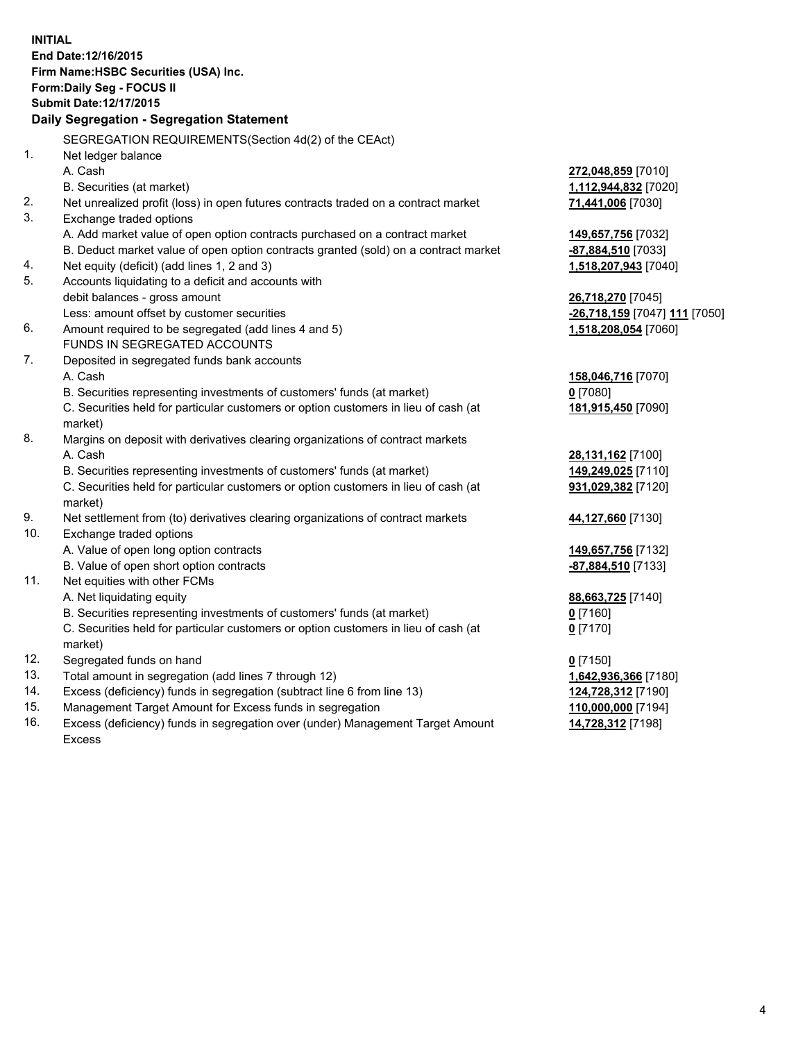**INITIAL End Date:12/16/2015 Firm Name:HSBC Securities (USA) Inc. Form:Daily Seg - FOCUS II Submit Date:12/17/2015 Daily Segregation - Segregation Statement** SEGREGATION REQUIREMENTS(Section 4d(2) of the CEAct) 1. Net ledger balance A. Cash **272,048,859** [7010] B. Securities (at market) **1,112,944,832** [7020] 2. Net unrealized profit (loss) in open futures contracts traded on a contract market **71,441,006** [7030] 3. Exchange traded options A. Add market value of open option contracts purchased on a contract market **149,657,756** [7032] B. Deduct market value of open option contracts granted (sold) on a contract market **-87,884,510** [7033] 4. Net equity (deficit) (add lines 1, 2 and 3) **1,518,207,943** [7040] 5. Accounts liquidating to a deficit and accounts with debit balances - gross amount **26,718,270** [7045] Less: amount offset by customer securities **-26,718,159** [7047] **111** [7050] 6. Amount required to be segregated (add lines 4 and 5) **1,518,208,054** [7060] FUNDS IN SEGREGATED ACCOUNTS 7. Deposited in segregated funds bank accounts A. Cash **158,046,716** [7070] B. Securities representing investments of customers' funds (at market) **0** [7080] C. Securities held for particular customers or option customers in lieu of cash (at market) **181,915,450** [7090] 8. Margins on deposit with derivatives clearing organizations of contract markets A. Cash **28,131,162** [7100] B. Securities representing investments of customers' funds (at market) **149,249,025** [7110] C. Securities held for particular customers or option customers in lieu of cash (at market) **931,029,382** [7120] 9. Net settlement from (to) derivatives clearing organizations of contract markets **44,127,660** [7130] 10. Exchange traded options A. Value of open long option contracts **149,657,756** [7132] B. Value of open short option contracts **-87,884,510** [7133] 11. Net equities with other FCMs A. Net liquidating equity **88,663,725** [7140] B. Securities representing investments of customers' funds (at market) **0** [7160] C. Securities held for particular customers or option customers in lieu of cash (at market) **0** [7170] 12. Segregated funds on hand **0** [7150] 13. Total amount in segregation (add lines 7 through 12) **1,642,936,366** [7180] 14. Excess (deficiency) funds in segregation (subtract line 6 from line 13) **124,728,312** [7190] 15. Management Target Amount for Excess funds in segregation **110,000,000** [7194]

16. Excess (deficiency) funds in segregation over (under) Management Target Amount Excess

**14,728,312** [7198]